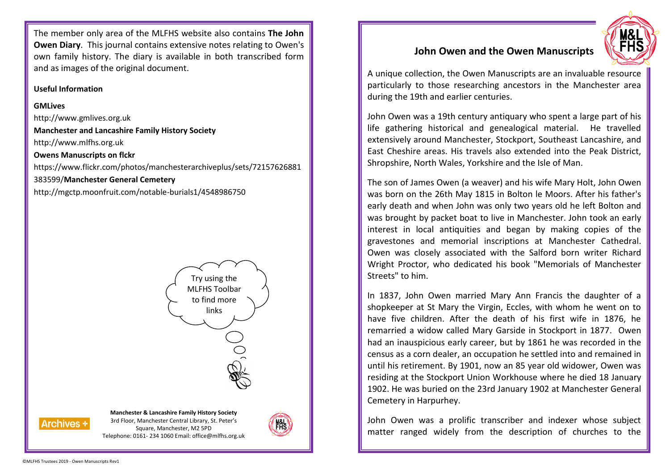The member only area of the MLFHS website also contains **The John Owen Diary**. This journal contains extensive notes relating to Owen's own family history. The diary is available in both transcribed form and as images of the original document.

## **Useful Information**

## **GMLives**

http://www.gmlives.org.uk **Manchester and Lancashire Family History Society** http://www.mlfhs.org.uk **Owens Manuscripts on flckr** https://www.flickr.com/photos/manchesterarchiveplus/sets/72157626881 383599/**Manchester General Cemetery** http://mgctp.moonfruit.com/notable-burials1/4548986750



# **John Owen and the Owen Manuscripts**

A unique collection, the Owen Manuscripts are an invaluable resource particularly to those researching ancestors in the Manchester area during the 19th and earlier centuries.

John Owen was a 19th century antiquary who spent a large part of his life gathering historical and genealogical material. He travelled extensively around Manchester, Stockport, Southeast Lancashire, and East Cheshire areas. His travels also extended into the Peak District, Shropshire, North Wales, Yorkshire and the Isle of Man.

The son of James Owen (a weaver) and his wife Mary Holt, John Owen was born on the 26th May 1815 in Bolton le Moors. After his father's early death and when John was only two years old he left Bolton and was brought by packet boat to live in Manchester. John took an early interest in local antiquities and began by making copies of the gravestones and memorial inscriptions at Manchester Cathedral. Owen was closely associated with the Salford born writer Richard Wright Proctor, who dedicated his book "Memorials of Manchester Streets" to him.

In 1837, John Owen married Mary Ann Francis the daughter of a shopkeeper at St Mary the Virgin, Eccles, with whom he went on to have five children. After the death of his first wife in 1876, he remarried a widow called Mary Garside in Stockport in 1877. Owen had an inauspicious early career, but by 1861 he was recorded in the census as a corn dealer, an occupation he settled into and remained in until his retirement. By 1901, now an 85 year old widower, Owen was residing at the Stockport Union Workhouse where he died 18 January 1902. He was buried on the 23rd January 1902 at Manchester General Cemetery in Harpurhey.

John Owen was a prolific transcriber and indexer whose subject matter ranged widely from the description of churches to the